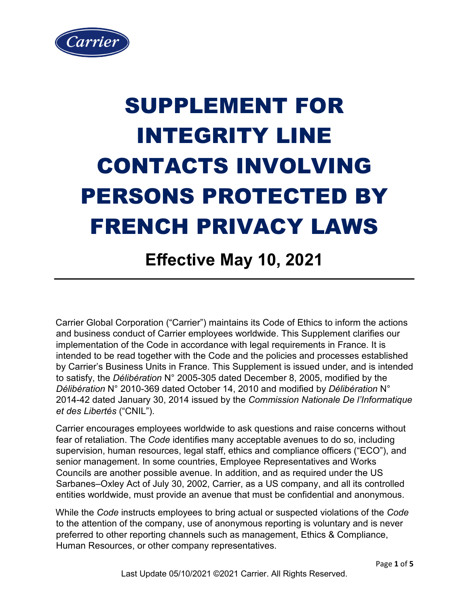

## SUPPLEMENT FOR INTEGRITY LINE CONTACTS INVOLVING PERSONS PROTECTED BY FRENCH PRIVACY LAWS

## **Effective May 10, 2021**

Carrier Global Corporation ("Carrier") maintains its Code of Ethics to inform the actions and business conduct of Carrier employees worldwide. This Supplement clarifies our implementation of the Code in accordance with legal requirements in France. It is intended to be read together with the Code and the policies and processes established by Carrier's Business Units in France. This Supplement is issued under, and is intended to satisfy, the *Délibération* N° 2005-305 dated December 8, 2005, modified by the *Délibération* N° 2010-369 dated October 14, 2010 and modified by *Délibération* N° 2014-42 dated January 30, 2014 issued by the *Commission Nationale De l'Informatique et des Libertés* ("CNIL").

Carrier encourages employees worldwide to ask questions and raise concerns without fear of retaliation. The *Code* identifies many acceptable avenues to do so, including supervision, human resources, legal staff, ethics and compliance officers ("ECO"), and senior management. In some countries, Employee Representatives and Works Councils are another possible avenue. In addition, and as required under the US Sarbanes–Oxley Act of July 30, 2002, Carrier, as a US company, and all its controlled entities worldwide, must provide an avenue that must be confidential and anonymous.

While the *Code* instructs employees to bring actual or suspected violations of the *Code* to the attention of the company, use of anonymous reporting is voluntary and is never preferred to other reporting channels such as management, Ethics & Compliance, Human Resources, or other company representatives.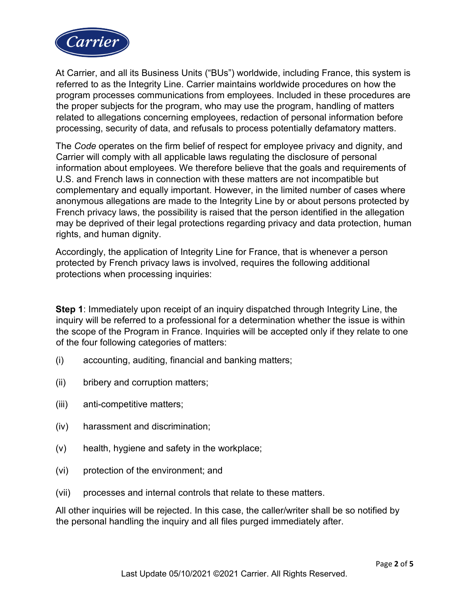

At Carrier, and all its Business Units ("BUs") worldwide, including France, this system is referred to as the Integrity Line. Carrier maintains worldwide procedures on how the program processes communications from employees. Included in these procedures are the proper subjects for the program, who may use the program, handling of matters related to allegations concerning employees, redaction of personal information before processing, security of data, and refusals to process potentially defamatory matters.

The *Code* operates on the firm belief of respect for employee privacy and dignity, and Carrier will comply with all applicable laws regulating the disclosure of personal information about employees. We therefore believe that the goals and requirements of U.S. and French laws in connection with these matters are not incompatible but complementary and equally important. However, in the limited number of cases where anonymous allegations are made to the Integrity Line by or about persons protected by French privacy laws, the possibility is raised that the person identified in the allegation may be deprived of their legal protections regarding privacy and data protection, human rights, and human dignity.

Accordingly, the application of Integrity Line for France, that is whenever a person protected by French privacy laws is involved, requires the following additional protections when processing inquiries:

**Step 1**: Immediately upon receipt of an inquiry dispatched through Integrity Line, the inquiry will be referred to a professional for a determination whether the issue is within the scope of the Program in France. Inquiries will be accepted only if they relate to one of the four following categories of matters:

- (i) accounting, auditing, financial and banking matters;
- (ii) bribery and corruption matters;
- (iii) anti-competitive matters;
- (iv) harassment and discrimination;
- (v) health, hygiene and safety in the workplace;
- (vi) protection of the environment; and
- (vii) processes and internal controls that relate to these matters.

All other inquiries will be rejected. In this case, the caller/writer shall be so notified by the personal handling the inquiry and all files purged immediately after.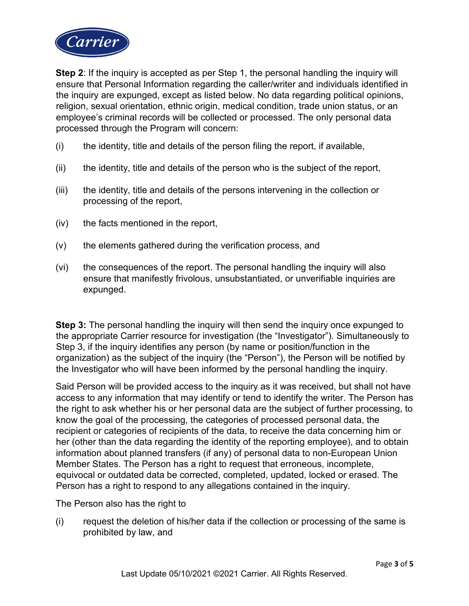

**Step 2**: If the inquiry is accepted as per Step 1, the personal handling the inquiry will ensure that Personal Information regarding the caller/writer and individuals identified in the inquiry are expunged, except as listed below. No data regarding political opinions, religion, sexual orientation, ethnic origin, medical condition, trade union status, or an employee's criminal records will be collected or processed. The only personal data processed through the Program will concern:

- (i) the identity, title and details of the person filing the report, if available,
- (ii) the identity, title and details of the person who is the subject of the report,
- (iii) the identity, title and details of the persons intervening in the collection or processing of the report,
- (iv) the facts mentioned in the report,
- (v) the elements gathered during the verification process, and
- (vi) the consequences of the report. The personal handling the inquiry will also ensure that manifestly frivolous, unsubstantiated, or unverifiable inquiries are expunged.

**Step 3:** The personal handling the inquiry will then send the inquiry once expunged to the appropriate Carrier resource for investigation (the "Investigator"). Simultaneously to Step 3, if the inquiry identifies any person (by name or position/function in the organization) as the subject of the inquiry (the "Person"), the Person will be notified by the Investigator who will have been informed by the personal handling the inquiry.

Said Person will be provided access to the inquiry as it was received, but shall not have access to any information that may identify or tend to identify the writer. The Person has the right to ask whether his or her personal data are the subject of further processing, to know the goal of the processing, the categories of processed personal data, the recipient or categories of recipients of the data, to receive the data concerning him or her (other than the data regarding the identity of the reporting employee), and to obtain information about planned transfers (if any) of personal data to non-European Union Member States. The Person has a right to request that erroneous, incomplete, equivocal or outdated data be corrected, completed, updated, locked or erased. The Person has a right to respond to any allegations contained in the inquiry.

The Person also has the right to

(i) request the deletion of his/her data if the collection or processing of the same is prohibited by law, and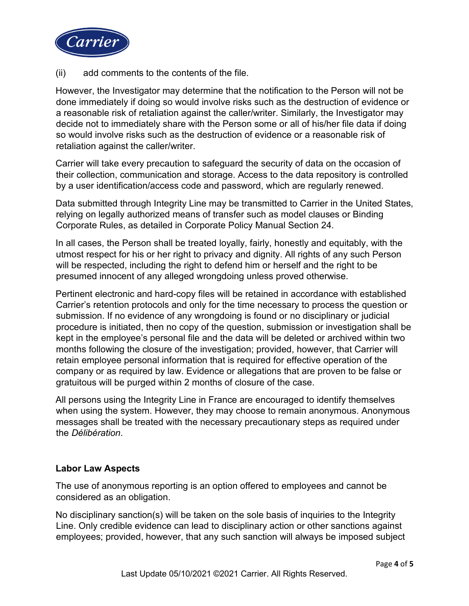

(ii) add comments to the contents of the file.

However, the Investigator may determine that the notification to the Person will not be done immediately if doing so would involve risks such as the destruction of evidence or a reasonable risk of retaliation against the caller/writer. Similarly, the Investigator may decide not to immediately share with the Person some or all of his/her file data if doing so would involve risks such as the destruction of evidence or a reasonable risk of retaliation against the caller/writer.

Carrier will take every precaution to safeguard the security of data on the occasion of their collection, communication and storage. Access to the data repository is controlled by a user identification/access code and password, which are regularly renewed.

Data submitted through Integrity Line may be transmitted to Carrier in the United States, relying on legally authorized means of transfer such as model clauses or Binding Corporate Rules, as detailed in Corporate Policy Manual Section 24.

In all cases, the Person shall be treated loyally, fairly, honestly and equitably, with the utmost respect for his or her right to privacy and dignity. All rights of any such Person will be respected, including the right to defend him or herself and the right to be presumed innocent of any alleged wrongdoing unless proved otherwise.

Pertinent electronic and hard-copy files will be retained in accordance with established Carrier's retention protocols and only for the time necessary to process the question or submission. If no evidence of any wrongdoing is found or no disciplinary or judicial procedure is initiated, then no copy of the question, submission or investigation shall be kept in the employee's personal file and the data will be deleted or archived within two months following the closure of the investigation; provided, however, that Carrier will retain employee personal information that is required for effective operation of the company or as required by law. Evidence or allegations that are proven to be false or gratuitous will be purged within 2 months of closure of the case.

All persons using the Integrity Line in France are encouraged to identify themselves when using the system. However, they may choose to remain anonymous. Anonymous messages shall be treated with the necessary precautionary steps as required under the *Délibération*.

## **Labor Law Aspects**

The use of anonymous reporting is an option offered to employees and cannot be considered as an obligation.

No disciplinary sanction(s) will be taken on the sole basis of inquiries to the Integrity Line. Only credible evidence can lead to disciplinary action or other sanctions against employees; provided, however, that any such sanction will always be imposed subject